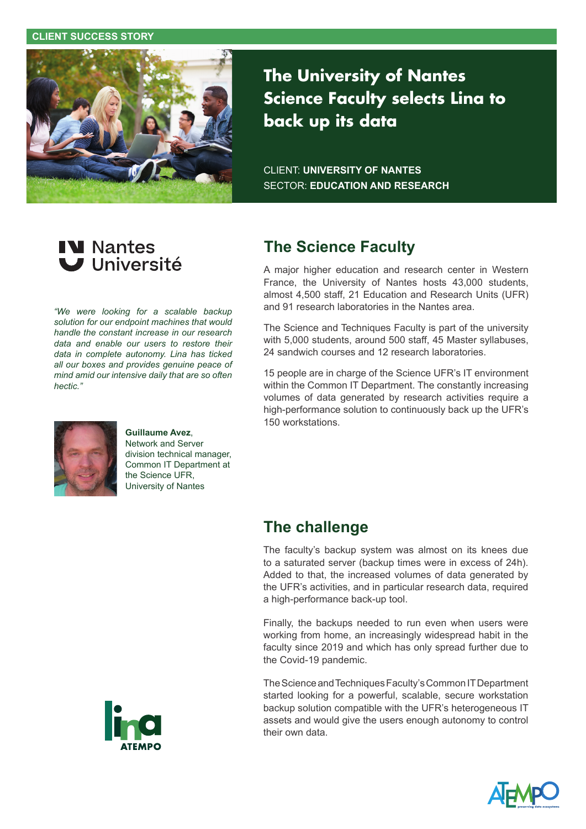#### **CLIENT SUCCESS STORY**



**The University of Nantes Science Faculty selects Lina to back up its data**

CLIENT: **UNIVERSITY OF NANTES** SECTOR: **EDUCATION AND RESEARCH**

## **IV Nantes** Université

*"We were looking for a scalable backup solution for our endpoint machines that would handle the constant increase in our research data and enable our users to restore their data in complete autonomy. Lina has ticked all our boxes and provides genuine peace of mind amid our intensive daily that are so often hectic."* 



**Guillaume Avez**, Network and Server division technical manager, Common IT Department at the Science UFR, University of Nantes

# **STEMPO**

## **The Science Faculty**

A major higher education and research center in Western France, the University of Nantes hosts 43,000 students, almost 4,500 staff, 21 Education and Research Units (UFR) and 91 research laboratories in the Nantes area.

The Science and Techniques Faculty is part of the university with 5,000 students, around 500 staff, 45 Master syllabuses, 24 sandwich courses and 12 research laboratories.

15 people are in charge of the Science UFR's IT environment within the Common IT Department. The constantly increasing volumes of data generated by research activities require a high-performance solution to continuously back up the UFR's 150 workstations.

### **The challenge**

The faculty's backup system was almost on its knees due to a saturated server (backup times were in excess of 24h). Added to that, the increased volumes of data generated by the UFR's activities, and in particular research data, required a high-performance back-up tool.

Finally, the backups needed to run even when users were working from home, an increasingly widespread habit in the faculty since 2019 and which has only spread further due to the Covid-19 pandemic.

The Science and Techniques Faculty's Common IT Department started looking for a powerful, scalable, secure workstation backup solution compatible with the UFR's heterogeneous IT assets and would give the users enough autonomy to control their own data.